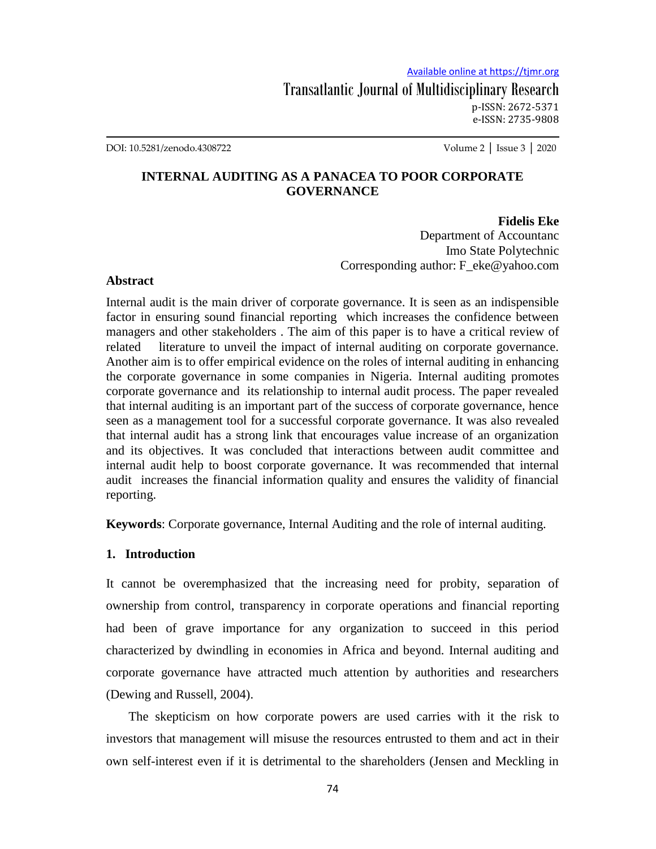DOI: 10.5281/zenodo.4308722 Volume 2 │ Issue 3 │ 2020

# **INTERNAL AUDITING AS A PANACEA TO POOR CORPORATE GOVERNANCE**

## **Fidelis Eke**

Department of Accountanc Imo State Polytechnic Corresponding author: F\_eke@yahoo.com

#### **Abstract**

Internal audit is the main driver of corporate governance. It is seen as an indispensible factor in ensuring sound financial reporting which increases the confidence between managers and other stakeholders . The aim of this paper is to have a critical review of related literature to unveil the impact of internal auditing on corporate governance. Another aim is to offer empirical evidence on the roles of internal auditing in enhancing the corporate governance in some companies in Nigeria. Internal auditing promotes corporate governance and its relationship to internal audit process. The paper revealed that internal auditing is an important part of the success of corporate governance, hence seen as a management tool for a successful corporate governance. It was also revealed that internal audit has a strong link that encourages value increase of an organization and its objectives. It was concluded that interactions between audit committee and internal audit help to boost corporate governance. It was recommended that internal audit increases the financial information quality and ensures the validity of financial reporting.

**Keywords**: Corporate governance, Internal Auditing and the role of internal auditing.

## **1. Introduction**

It cannot be overemphasized that the increasing need for probity, separation of ownership from control, transparency in corporate operations and financial reporting had been of grave importance for any organization to succeed in this period characterized by dwindling in economies in Africa and beyond. Internal auditing and corporate governance have attracted much attention by authorities and researchers (Dewing and Russell, 2004).

 The skepticism on how corporate powers are used carries with it the risk to investors that management will misuse the resources entrusted to them and act in their own self-interest even if it is detrimental to the shareholders (Jensen and Meckling in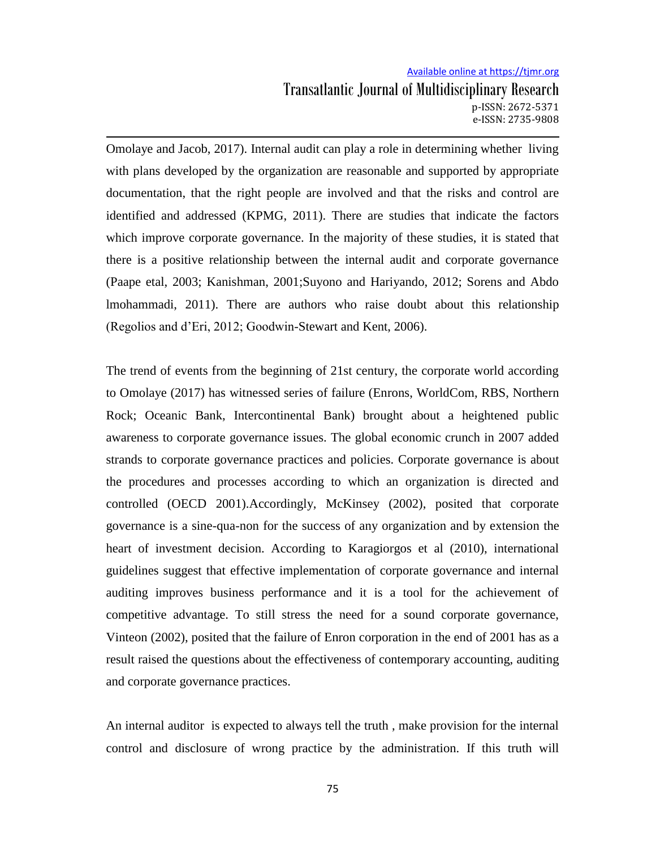Omolaye and Jacob, 2017). Internal audit can play a role in determining whether living with plans developed by the organization are reasonable and supported by appropriate documentation, that the right people are involved and that the risks and control are identified and addressed (KPMG, 2011). There are studies that indicate the factors which improve corporate governance. In the majority of these studies, it is stated that there is a positive relationship between the internal audit and corporate governance (Paape etal, 2003; Kanishman, 2001;Suyono and Hariyando, 2012; Sorens and Abdo lmohammadi, 2011). There are authors who raise doubt about this relationship (Regolios and d'Eri, 2012; Goodwin-Stewart and Kent, 2006).

The trend of events from the beginning of 21st century, the corporate world according to Omolaye (2017) has witnessed series of failure (Enrons, WorldCom, RBS, Northern Rock; Oceanic Bank, Intercontinental Bank) brought about a heightened public awareness to corporate governance issues. The global economic crunch in 2007 added strands to corporate governance practices and policies. Corporate governance is about the procedures and processes according to which an organization is directed and controlled (OECD 2001).Accordingly, McKinsey (2002), posited that corporate governance is a sine-qua-non for the success of any organization and by extension the heart of investment decision. According to Karagiorgos et al (2010), international guidelines suggest that effective implementation of corporate governance and internal auditing improves business performance and it is a tool for the achievement of competitive advantage. To still stress the need for a sound corporate governance, Vinteon (2002), posited that the failure of Enron corporation in the end of 2001 has as a result raised the questions about the effectiveness of contemporary accounting, auditing and corporate governance practices.

An internal auditor is expected to always tell the truth , make provision for the internal control and disclosure of wrong practice by the administration. If this truth will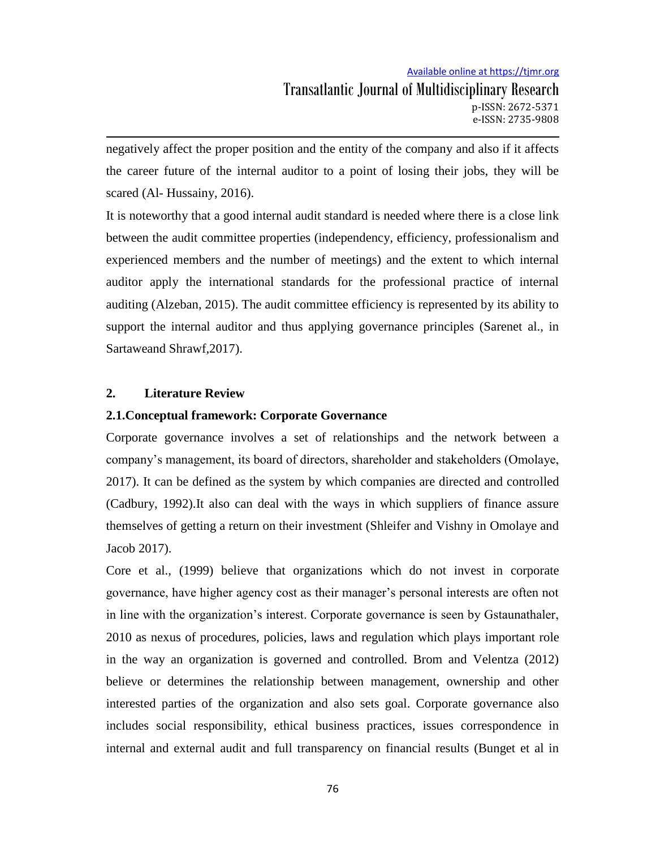negatively affect the proper position and the entity of the company and also if it affects the career future of the internal auditor to a point of losing their jobs, they will be scared (Al- Hussainy, 2016).

It is noteworthy that a good internal audit standard is needed where there is a close link between the audit committee properties (independency, efficiency, professionalism and experienced members and the number of meetings) and the extent to which internal auditor apply the international standards for the professional practice of internal auditing (Alzeban, 2015). The audit committee efficiency is represented by its ability to support the internal auditor and thus applying governance principles (Sarenet al., in Sartaweand Shrawf,2017).

### **2. Literature Review**

### **2.1.Conceptual framework: Corporate Governance**

Corporate governance involves a set of relationships and the network between a company's management, its board of directors, shareholder and stakeholders (Omolaye, 2017). It can be defined as the system by which companies are directed and controlled (Cadbury, 1992).It also can deal with the ways in which suppliers of finance assure themselves of getting a return on their investment (Shleifer and Vishny in Omolaye and Jacob 2017).

Core et al., (1999) believe that organizations which do not invest in corporate governance, have higher agency cost as their manager's personal interests are often not in line with the organization's interest. Corporate governance is seen by Gstaunathaler, 2010 as nexus of procedures, policies, laws and regulation which plays important role in the way an organization is governed and controlled. Brom and Velentza (2012) believe or determines the relationship between management, ownership and other interested parties of the organization and also sets goal. Corporate governance also includes social responsibility, ethical business practices, issues correspondence in internal and external audit and full transparency on financial results (Bunget et al in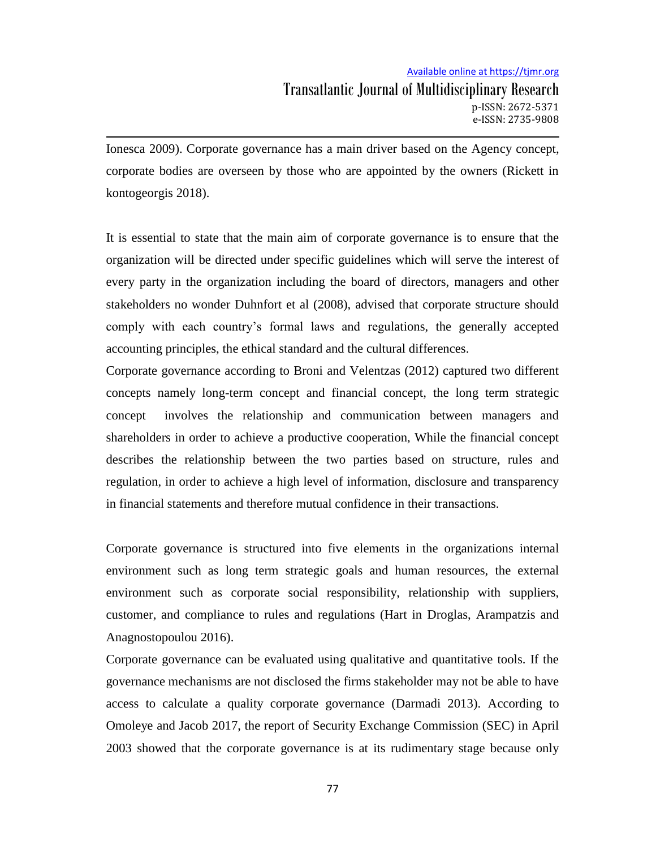Ionesca 2009). Corporate governance has a main driver based on the Agency concept, corporate bodies are overseen by those who are appointed by the owners (Rickett in kontogeorgis 2018).

It is essential to state that the main aim of corporate governance is to ensure that the organization will be directed under specific guidelines which will serve the interest of every party in the organization including the board of directors, managers and other stakeholders no wonder Duhnfort et al (2008), advised that corporate structure should comply with each country's formal laws and regulations, the generally accepted accounting principles, the ethical standard and the cultural differences.

Corporate governance according to Broni and Velentzas (2012) captured two different concepts namely long-term concept and financial concept, the long term strategic concept involves the relationship and communication between managers and shareholders in order to achieve a productive cooperation, While the financial concept describes the relationship between the two parties based on structure, rules and regulation, in order to achieve a high level of information, disclosure and transparency in financial statements and therefore mutual confidence in their transactions.

Corporate governance is structured into five elements in the organizations internal environment such as long term strategic goals and human resources, the external environment such as corporate social responsibility, relationship with suppliers, customer, and compliance to rules and regulations (Hart in Droglas, Arampatzis and Anagnostopoulou 2016).

Corporate governance can be evaluated using qualitative and quantitative tools. If the governance mechanisms are not disclosed the firms stakeholder may not be able to have access to calculate a quality corporate governance (Darmadi 2013). According to Omoleye and Jacob 2017, the report of Security Exchange Commission (SEC) in April 2003 showed that the corporate governance is at its rudimentary stage because only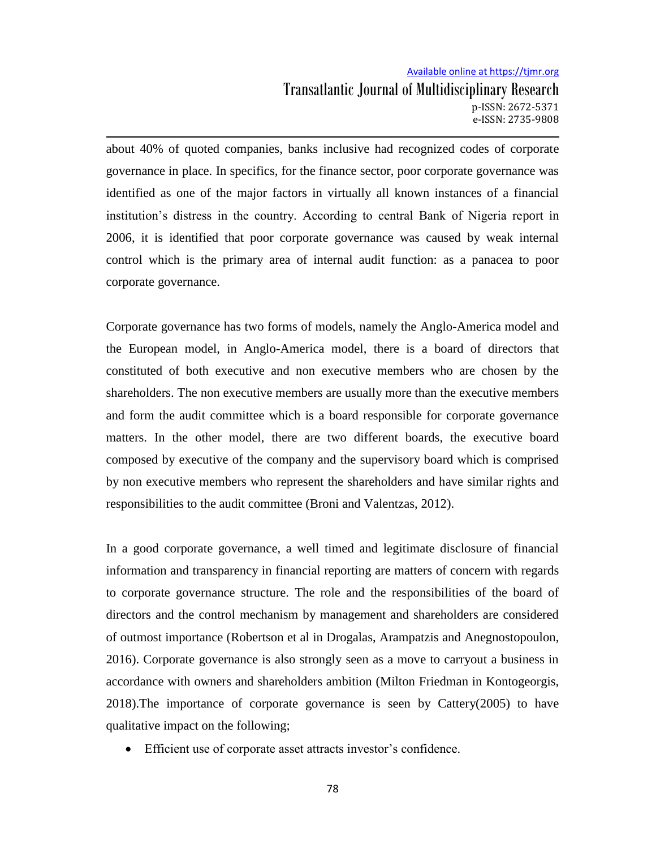about 40% of quoted companies, banks inclusive had recognized codes of corporate governance in place. In specifics, for the finance sector, poor corporate governance was identified as one of the major factors in virtually all known instances of a financial institution's distress in the country. According to central Bank of Nigeria report in 2006, it is identified that poor corporate governance was caused by weak internal control which is the primary area of internal audit function: as a panacea to poor corporate governance.

Corporate governance has two forms of models, namely the Anglo-America model and the European model, in Anglo-America model, there is a board of directors that constituted of both executive and non executive members who are chosen by the shareholders. The non executive members are usually more than the executive members and form the audit committee which is a board responsible for corporate governance matters. In the other model, there are two different boards, the executive board composed by executive of the company and the supervisory board which is comprised by non executive members who represent the shareholders and have similar rights and responsibilities to the audit committee (Broni and Valentzas, 2012).

In a good corporate governance, a well timed and legitimate disclosure of financial information and transparency in financial reporting are matters of concern with regards to corporate governance structure. The role and the responsibilities of the board of directors and the control mechanism by management and shareholders are considered of outmost importance (Robertson et al in Drogalas, Arampatzis and Anegnostopoulon, 2016). Corporate governance is also strongly seen as a move to carryout a business in accordance with owners and shareholders ambition (Milton Friedman in Kontogeorgis, 2018).The importance of corporate governance is seen by Cattery(2005) to have qualitative impact on the following;

Efficient use of corporate asset attracts investor's confidence.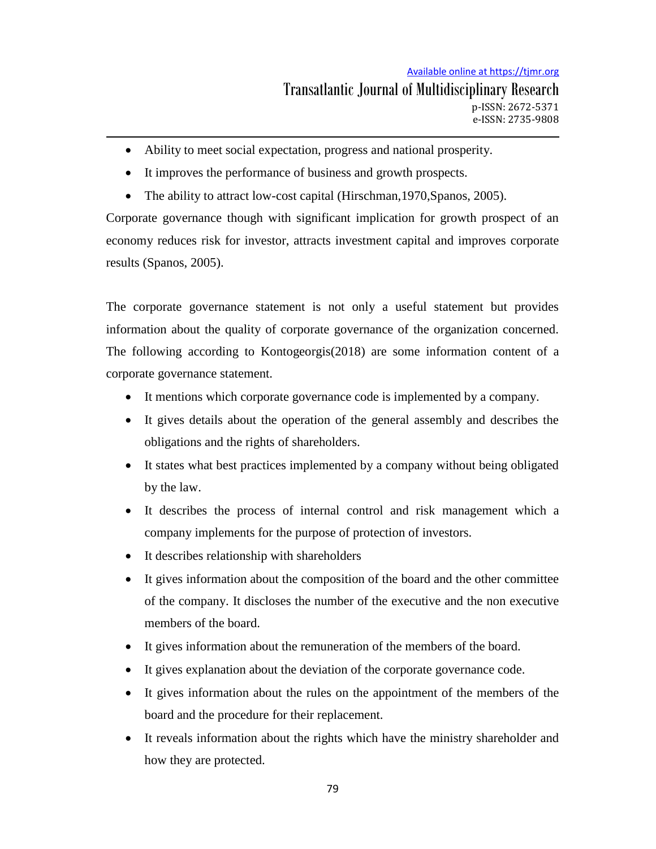- Ability to meet social expectation, progress and national prosperity.
- It improves the performance of business and growth prospects.
- The ability to attract low-cost capital (Hirschman, 1970, Spanos, 2005).

Corporate governance though with significant implication for growth prospect of an economy reduces risk for investor, attracts investment capital and improves corporate results (Spanos, 2005).

The corporate governance statement is not only a useful statement but provides information about the quality of corporate governance of the organization concerned. The following according to Kontogeorgis(2018) are some information content of a corporate governance statement.

- It mentions which corporate governance code is implemented by a company.
- It gives details about the operation of the general assembly and describes the obligations and the rights of shareholders.
- It states what best practices implemented by a company without being obligated by the law.
- It describes the process of internal control and risk management which a company implements for the purpose of protection of investors.
- It describes relationship with shareholders
- It gives information about the composition of the board and the other committee of the company. It discloses the number of the executive and the non executive members of the board.
- It gives information about the remuneration of the members of the board.
- It gives explanation about the deviation of the corporate governance code.
- It gives information about the rules on the appointment of the members of the board and the procedure for their replacement.
- It reveals information about the rights which have the ministry shareholder and how they are protected.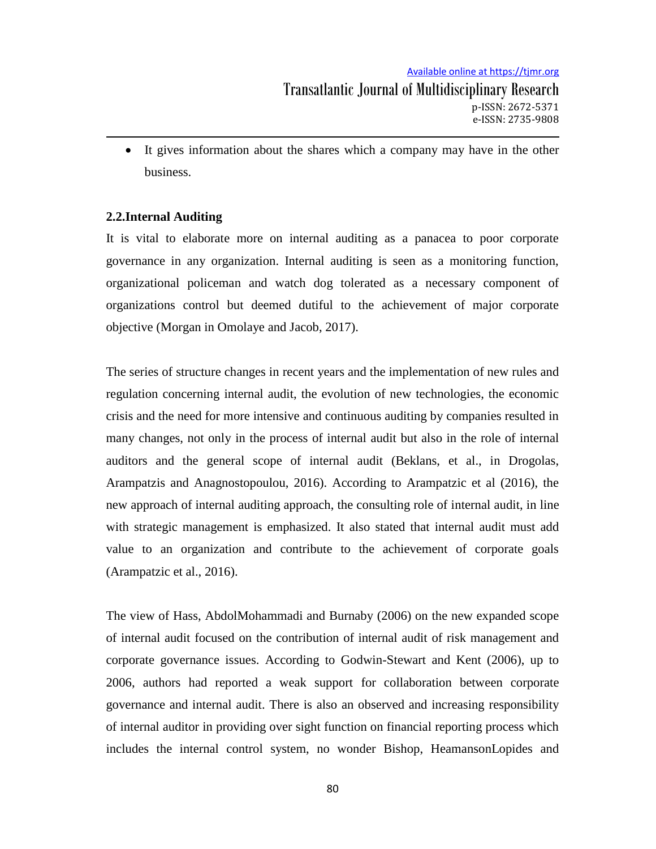It gives information about the shares which a company may have in the other business.

### **2.2.Internal Auditing**

It is vital to elaborate more on internal auditing as a panacea to poor corporate governance in any organization. Internal auditing is seen as a monitoring function, organizational policeman and watch dog tolerated as a necessary component of organizations control but deemed dutiful to the achievement of major corporate objective (Morgan in Omolaye and Jacob, 2017).

The series of structure changes in recent years and the implementation of new rules and regulation concerning internal audit, the evolution of new technologies, the economic crisis and the need for more intensive and continuous auditing by companies resulted in many changes, not only in the process of internal audit but also in the role of internal auditors and the general scope of internal audit (Beklans, et al., in Drogolas, Arampatzis and Anagnostopoulou, 2016). According to Arampatzic et al (2016), the new approach of internal auditing approach, the consulting role of internal audit, in line with strategic management is emphasized. It also stated that internal audit must add value to an organization and contribute to the achievement of corporate goals (Arampatzic et al., 2016).

The view of Hass, AbdolMohammadi and Burnaby (2006) on the new expanded scope of internal audit focused on the contribution of internal audit of risk management and corporate governance issues. According to Godwin-Stewart and Kent (2006), up to 2006, authors had reported a weak support for collaboration between corporate governance and internal audit. There is also an observed and increasing responsibility of internal auditor in providing over sight function on financial reporting process which includes the internal control system, no wonder Bishop, HeamansonLopides and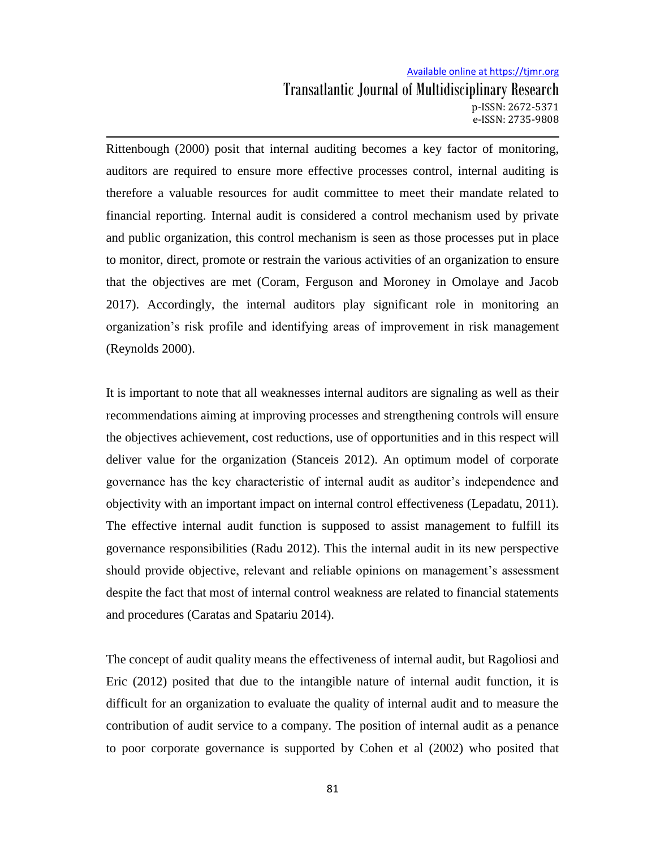Rittenbough (2000) posit that internal auditing becomes a key factor of monitoring, auditors are required to ensure more effective processes control, internal auditing is therefore a valuable resources for audit committee to meet their mandate related to financial reporting. Internal audit is considered a control mechanism used by private and public organization, this control mechanism is seen as those processes put in place to monitor, direct, promote or restrain the various activities of an organization to ensure that the objectives are met (Coram, Ferguson and Moroney in Omolaye and Jacob 2017). Accordingly, the internal auditors play significant role in monitoring an organization's risk profile and identifying areas of improvement in risk management (Reynolds 2000).

It is important to note that all weaknesses internal auditors are signaling as well as their recommendations aiming at improving processes and strengthening controls will ensure the objectives achievement, cost reductions, use of opportunities and in this respect will deliver value for the organization (Stanceis 2012). An optimum model of corporate governance has the key characteristic of internal audit as auditor's independence and objectivity with an important impact on internal control effectiveness (Lepadatu, 2011). The effective internal audit function is supposed to assist management to fulfill its governance responsibilities (Radu 2012). This the internal audit in its new perspective should provide objective, relevant and reliable opinions on management's assessment despite the fact that most of internal control weakness are related to financial statements and procedures (Caratas and Spatariu 2014).

The concept of audit quality means the effectiveness of internal audit, but Ragoliosi and Eric (2012) posited that due to the intangible nature of internal audit function, it is difficult for an organization to evaluate the quality of internal audit and to measure the contribution of audit service to a company. The position of internal audit as a penance to poor corporate governance is supported by Cohen et al (2002) who posited that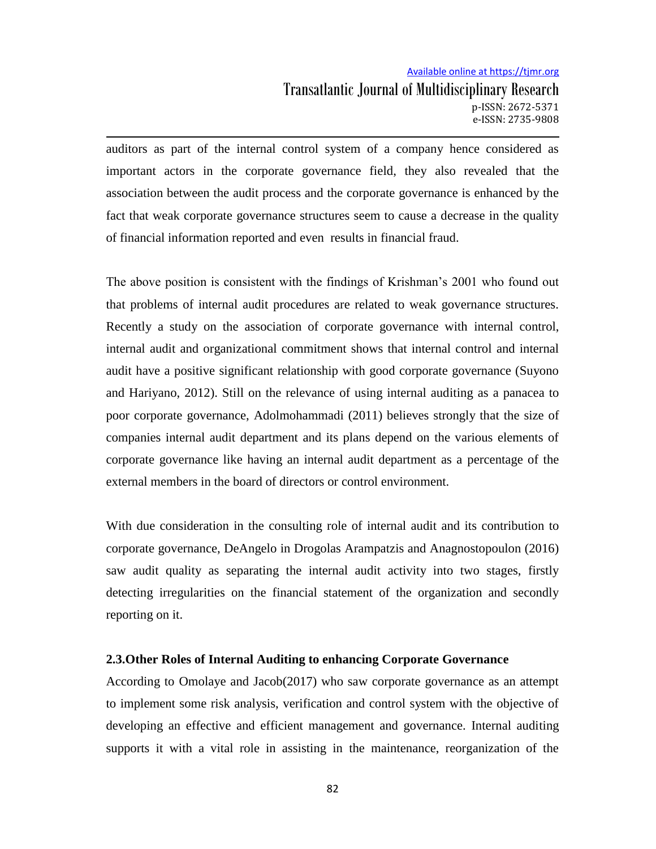auditors as part of the internal control system of a company hence considered as important actors in the corporate governance field, they also revealed that the association between the audit process and the corporate governance is enhanced by the fact that weak corporate governance structures seem to cause a decrease in the quality of financial information reported and even results in financial fraud.

The above position is consistent with the findings of Krishman's 2001 who found out that problems of internal audit procedures are related to weak governance structures. Recently a study on the association of corporate governance with internal control, internal audit and organizational commitment shows that internal control and internal audit have a positive significant relationship with good corporate governance (Suyono and Hariyano, 2012). Still on the relevance of using internal auditing as a panacea to poor corporate governance, Adolmohammadi (2011) believes strongly that the size of companies internal audit department and its plans depend on the various elements of corporate governance like having an internal audit department as a percentage of the external members in the board of directors or control environment.

With due consideration in the consulting role of internal audit and its contribution to corporate governance, DeAngelo in Drogolas Arampatzis and Anagnostopoulon (2016) saw audit quality as separating the internal audit activity into two stages, firstly detecting irregularities on the financial statement of the organization and secondly reporting on it.

#### **2.3.Other Roles of Internal Auditing to enhancing Corporate Governance**

According to Omolaye and Jacob(2017) who saw corporate governance as an attempt to implement some risk analysis, verification and control system with the objective of developing an effective and efficient management and governance. Internal auditing supports it with a vital role in assisting in the maintenance, reorganization of the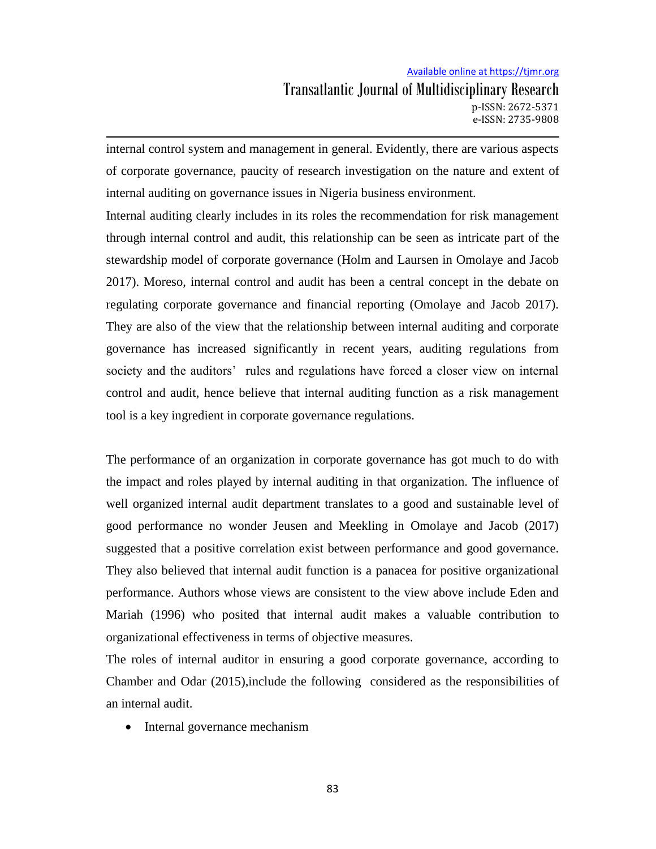internal control system and management in general. Evidently, there are various aspects of corporate governance, paucity of research investigation on the nature and extent of internal auditing on governance issues in Nigeria business environment.

Internal auditing clearly includes in its roles the recommendation for risk management through internal control and audit, this relationship can be seen as intricate part of the stewardship model of corporate governance (Holm and Laursen in Omolaye and Jacob 2017). Moreso, internal control and audit has been a central concept in the debate on regulating corporate governance and financial reporting (Omolaye and Jacob 2017). They are also of the view that the relationship between internal auditing and corporate governance has increased significantly in recent years, auditing regulations from society and the auditors' rules and regulations have forced a closer view on internal control and audit, hence believe that internal auditing function as a risk management tool is a key ingredient in corporate governance regulations.

The performance of an organization in corporate governance has got much to do with the impact and roles played by internal auditing in that organization. The influence of well organized internal audit department translates to a good and sustainable level of good performance no wonder Jeusen and Meekling in Omolaye and Jacob (2017) suggested that a positive correlation exist between performance and good governance. They also believed that internal audit function is a panacea for positive organizational performance. Authors whose views are consistent to the view above include Eden and Mariah (1996) who posited that internal audit makes a valuable contribution to organizational effectiveness in terms of objective measures.

The roles of internal auditor in ensuring a good corporate governance, according to Chamber and Odar (2015),include the following considered as the responsibilities of an internal audit.

• Internal governance mechanism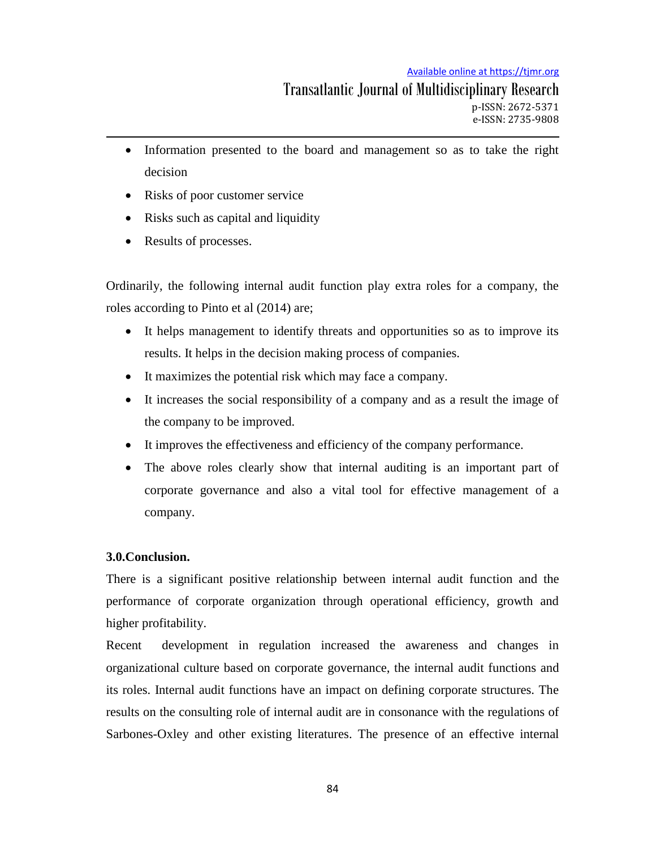#### Available online at https://tjmr.org

- Information presented to the board and management so as to take the right decision
- Risks of poor customer service
- Risks such as capital and liquidity
- Results of processes.

Ordinarily, the following internal audit function play extra roles for a company, the roles according to Pinto et al (2014) are;

- It helps management to identify threats and opportunities so as to improve its results. It helps in the decision making process of companies.
- It maximizes the potential risk which may face a company.
- It increases the social responsibility of a company and as a result the image of the company to be improved.
- It improves the effectiveness and efficiency of the company performance.
- The above roles clearly show that internal auditing is an important part of corporate governance and also a vital tool for effective management of a company.

# **3.0.Conclusion.**

There is a significant positive relationship between internal audit function and the performance of corporate organization through operational efficiency, growth and higher profitability.

Recent development in regulation increased the awareness and changes in organizational culture based on corporate governance, the internal audit functions and its roles. Internal audit functions have an impact on defining corporate structures. The results on the consulting role of internal audit are in consonance with the regulations of Sarbones-Oxley and other existing literatures. The presence of an effective internal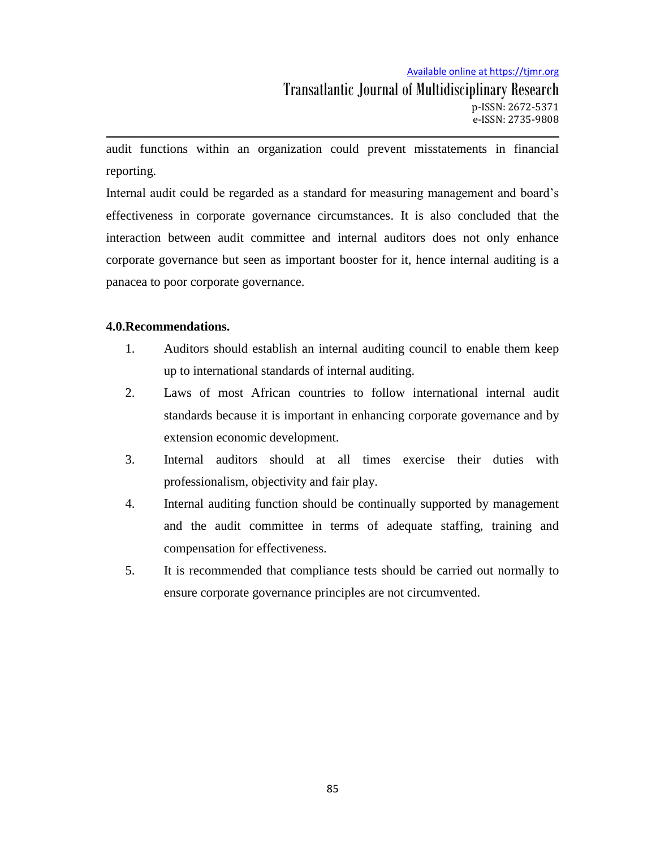audit functions within an organization could prevent misstatements in financial reporting.

Internal audit could be regarded as a standard for measuring management and board's effectiveness in corporate governance circumstances. It is also concluded that the interaction between audit committee and internal auditors does not only enhance corporate governance but seen as important booster for it, hence internal auditing is a panacea to poor corporate governance.

## **4.0.Recommendations.**

- 1. Auditors should establish an internal auditing council to enable them keep up to international standards of internal auditing.
- 2. Laws of most African countries to follow international internal audit standards because it is important in enhancing corporate governance and by extension economic development.
- 3. Internal auditors should at all times exercise their duties with professionalism, objectivity and fair play.
- 4. Internal auditing function should be continually supported by management and the audit committee in terms of adequate staffing, training and compensation for effectiveness.
- 5. It is recommended that compliance tests should be carried out normally to ensure corporate governance principles are not circumvented.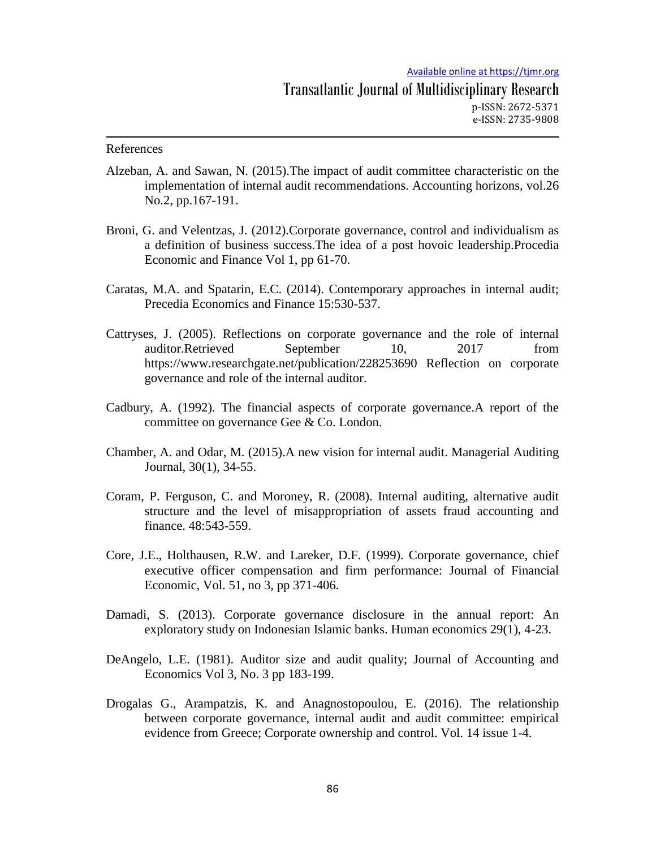#### References

- Alzeban, A. and Sawan, N. (2015).The impact of audit committee characteristic on the implementation of internal audit recommendations. Accounting horizons, vol.26 No.2, pp.167-191.
- Broni, G. and Velentzas, J. (2012).Corporate governance, control and individualism as a definition of business success.The idea of a post hovoic leadership.Procedia Economic and Finance Vol 1, pp 61-70.
- Caratas, M.A. and Spatarin, E.C. (2014). Contemporary approaches in internal audit; Precedia Economics and Finance 15:530-537.
- Cattryses, J. (2005). Reflections on corporate governance and the role of internal auditor.Retrieved September 10, 2017 from https://www.researchgate.net/publication/228253690 Reflection on corporate governance and role of the internal auditor.
- Cadbury, A. (1992). The financial aspects of corporate governance.A report of the committee on governance Gee & Co. London.
- Chamber, A. and Odar, M. (2015).A new vision for internal audit. Managerial Auditing Journal, 30(1), 34-55.
- Coram, P. Ferguson, C. and Moroney, R. (2008). Internal auditing, alternative audit structure and the level of misappropriation of assets fraud accounting and finance. 48:543-559.
- Core, J.E., Holthausen, R.W. and Lareker, D.F. (1999). Corporate governance, chief executive officer compensation and firm performance: Journal of Financial Economic, Vol. 51, no 3, pp 371-406.
- Damadi, S. (2013). Corporate governance disclosure in the annual report: An exploratory study on Indonesian Islamic banks. Human economics 29(1), 4-23.
- DeAngelo, L.E. (1981). Auditor size and audit quality; Journal of Accounting and Economics Vol 3, No. 3 pp 183-199.
- Drogalas G., Arampatzis, K. and Anagnostopoulou, E. (2016). The relationship between corporate governance, internal audit and audit committee: empirical evidence from Greece; Corporate ownership and control. Vol. 14 issue 1-4.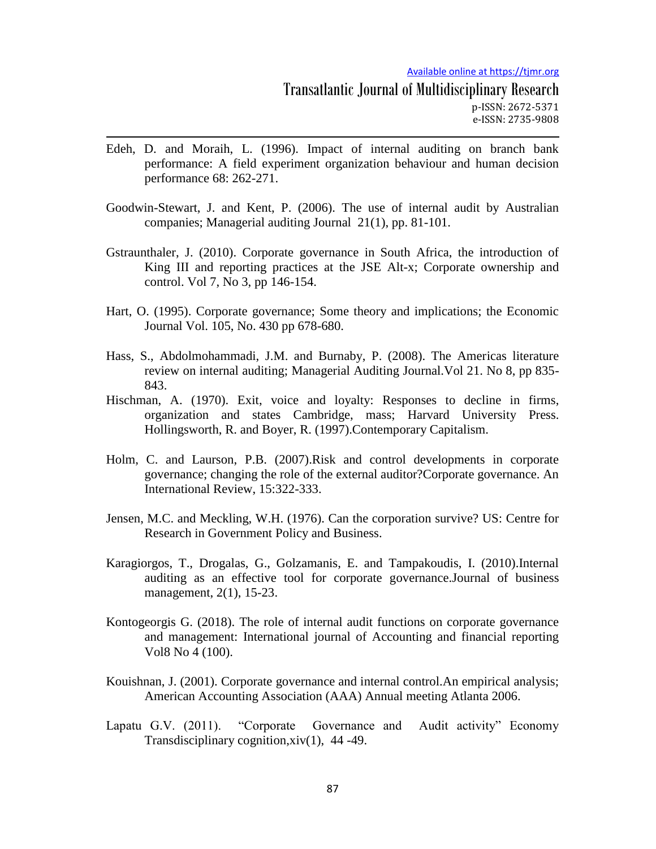- Edeh, D. and Moraih, L. (1996). Impact of internal auditing on branch bank performance: A field experiment organization behaviour and human decision performance 68: 262-271.
- Goodwin-Stewart, J. and Kent, P. (2006). The use of internal audit by Australian companies; Managerial auditing Journal 21(1), pp. 81-101.
- Gstraunthaler, J. (2010). Corporate governance in South Africa, the introduction of King III and reporting practices at the JSE Alt-x; Corporate ownership and control. Vol 7, No 3, pp 146-154.
- Hart, O. (1995). Corporate governance; Some theory and implications; the Economic Journal Vol. 105, No. 430 pp 678-680.
- Hass, S., Abdolmohammadi, J.M. and Burnaby, P. (2008). The Americas literature review on internal auditing; Managerial Auditing Journal.Vol 21. No 8, pp 835- 843.
- Hischman, A. (1970). Exit, voice and loyalty: Responses to decline in firms, organization and states Cambridge, mass; Harvard University Press. Hollingsworth, R. and Boyer, R. (1997).Contemporary Capitalism.
- Holm, C. and Laurson, P.B. (2007).Risk and control developments in corporate governance; changing the role of the external auditor?Corporate governance. An International Review, 15:322-333.
- Jensen, M.C. and Meckling, W.H. (1976). Can the corporation survive? US: Centre for Research in Government Policy and Business.
- Karagiorgos, T., Drogalas, G., Golzamanis, E. and Tampakoudis, I. (2010).Internal auditing as an effective tool for corporate governance.Journal of business management, 2(1), 15-23.
- Kontogeorgis G. (2018). The role of internal audit functions on corporate governance and management: International journal of Accounting and financial reporting Vol8 No 4 (100).
- Kouishnan, J. (2001). Corporate governance and internal control.An empirical analysis; American Accounting Association (AAA) Annual meeting Atlanta 2006.
- Lapatu G.V. (2011). "Corporate Governance and Audit activity" Economy Transdisciplinary cognition,xiv(1), 44 -49.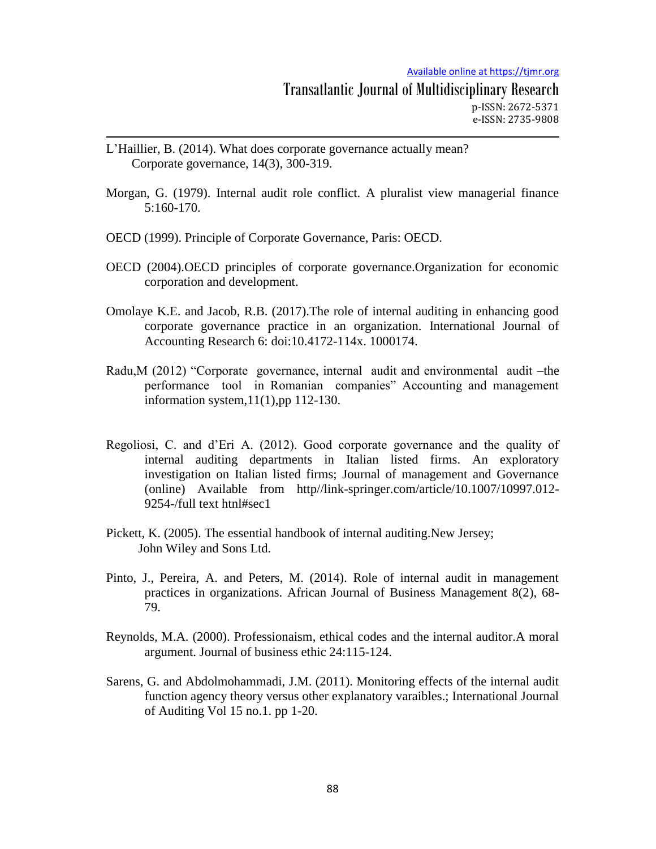- L'Haillier, B. (2014). What does corporate governance actually mean? Corporate governance, 14(3), 300-319.
- Morgan, G. (1979). Internal audit role conflict. A pluralist view managerial finance 5:160-170.
- OECD (1999). Principle of Corporate Governance, Paris: OECD.
- OECD (2004).OECD principles of corporate governance.Organization for economic corporation and development.
- Omolaye K.E. and Jacob, R.B. (2017).The role of internal auditing in enhancing good corporate governance practice in an organization. International Journal of Accounting Research 6: doi:10.4172-114x. 1000174.
- Radu,M (2012) "Corporate governance, internal audit and environmental audit –the performance tool in Romanian companies" Accounting and management information system,11(1),pp 112-130.
- Regoliosi, C. and d'Eri A. (2012). Good corporate governance and the quality of internal auditing departments in Italian listed firms. An exploratory investigation on Italian listed firms; Journal of management and Governance (online) Available from http//link-springer.com/article/10.1007/10997.012- 9254-/full text htnl#sec1
- Pickett, K. (2005). The essential handbook of internal auditing.New Jersey; John Wiley and Sons Ltd.
- Pinto, J., Pereira, A. and Peters, M. (2014). Role of internal audit in management practices in organizations. African Journal of Business Management 8(2), 68- 79.
- Reynolds, M.A. (2000). Professionaism, ethical codes and the internal auditor.A moral argument. Journal of business ethic 24:115-124.
- Sarens, G. and Abdolmohammadi, J.M. (2011). Monitoring effects of the internal audit function agency theory versus other explanatory varaibles.; International Journal of Auditing Vol 15 no.1. pp 1-20.